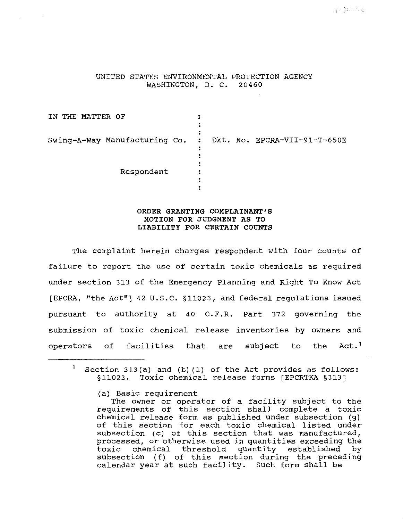UNITED STATES ENVIRONMENTAL PROTECTION AGENCY WASHINGTON, D. C. 20460

IN THE MATTER OF  $\ddot{\cdot}$  $\ddot{\cdot}$ : Swing-A-Way Manufacturing Co. : Dkt. No. EPCRA-VII-91-T-650E  $\ddot{\cdot}$  $\ddot{\cdot}$ Respondent  $\ddot{\cdot}$  $\ddot{\phantom{a}}$  $\ddot{\cdot}$ 

## **ORDER GRANTING COMPLAINANT'S MOTION FOR JUDGMENT AS TO LIABILITY FOR CERTAIN COUNTS**

The complaint herein charges respondent with four counts of failure to report the use of certain toxic chemicals as required under section 313 of the Emergency Planning and Right To Know Act [EPCRA, "the Act"] 42 U.S.C. §11023, and federal regulations issued pursuant to authority at 40 C.F.R. Part 372 governing the submission of toxic chemical release inventories by owners and operators of facilities that are subject to the Act.<sup>1</sup>

 $\mathbf{1}$ Section 313(a) and (b) (1) of the Act provides as follows: §11023. Toxic chemical release forms [EPCRTKA §313]

<sup>(</sup>a) Basic requirement

The owner or operator of a facility subject to the requirements of this section shall complete a toxic chemical release form as published under subsection (g) of this section for each toxic chemical listed under subsection (c) of this section that was manufactured, processed, or otherwise used in quantities exceeding the toxic chemical threshold quantity established by chemical threshold quantity established by subsection (f) of this section during the preceding calendar year at such facility. Such form shall be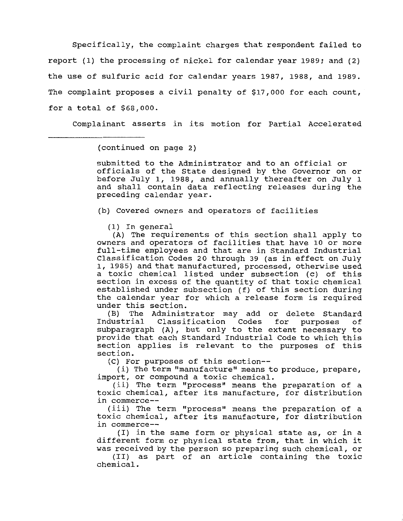Specifically, the complaint charges that respondent failed to report (1) the processing of nickel for calendar year 1989; and (2) the use of sulfuric acid for calendar years 1987, 1988, and 1989. The complaint proposes a civil penalty of \$17,000 for each count, for a total of \$68,000.

Complainant asserts in its motion for Partial Accelerated

(continued on page 2)

submitted to the Administrator and to an official or officials of the State designed by the Governor on or before July 1, 1988, and annually thereafter on July 1 and shall contain data reflecting releases during the preceding calendar year.

(b) covered owners and operators of facilities

(1) In general

{A) The requirements of this section shall apply to owners and operators of facilities that have 10 or more full-time employees and that are in Standard Industrial Classification Codes 20 through 39 (as in effect on July 1, 1985) and that manufactured, processed, otherwise used a toxic chemical listed under subsection (c) of this section in excess of the quantity of that toxic chemical established under subsection (f) of this section during the calendar year for which a release form is required under this section.

(B) The Administrator may add or delete Standard<br>Industrial Classification Codes for purposes of Classification subparagraph {A) , but only to the extent necessary to provide that each Standard Industrial Code to which this section applies is relevant to the purposes of this section.

{C) For purposes of this section--

(i) The term "manufacture" means to produce, prepare, import, or compound a toxic chemical.

(ii) The term "process" means the preparation of a toxic chemical, after its manufacture, for distribution in commerce--

( iii) The term "process" means the preparation of a toxic chemical, after its manufacture, for distribution in commerce--

(I) in the same form or physical state as, or in a different form or physical state from, that in which it was received by the person so preparing such chemical, or

(II) as part of an article containing the toxic chemical.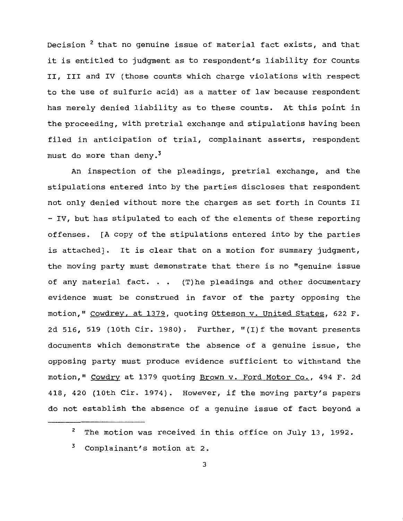Decision<sup>2</sup> that no genuine issue of material fact exists, and that it is entitled to judgment as to respondent's liability for Counts II, III and IV (those counts which charge violations with respect to the use of sulfuric acid) as a matter of law because respondent has merely denied liability as to these counts. At this point in the proceeding, with pretrial exchange and stipulations having been filed in anticipation of trial, complainant asserts, respondent must do more than deny.<sup>3</sup>

An inspection of the pleadings, pretrial exchange, and the stipulations entered into by the parties discloses that respondent not only denied without more the charges as set forth in Counts II - IV, but has stipulated to each of the elements of these reporting offenses. [A copy of the stipulations entered into by the parties is attached]. It is clear that on a motion for summary judgment, the moving party must demonstrate that there is no "genuine issue of any material fact.  $\ldots$  (T) he pleadings and other documentary evidence must be construed in favor of the party opposing the motion," Cowdrey, at 1379, quoting Otteson v. United states, 622 F. 2d 516, 519 (lOth cir. 1980). Further, "(I)f the movant presents documents which demonstrate the absence of a genuine issue, the opposing party must produce evidence sufficient to withstand the motion," Cowdry at 1379 quoting Brown v. Ford Motor Co., 494 F. 2d 418, 420 (lOth Cir. 1974). However, if the moving party's papers do not establish the absence of a genuine issue of fact beyond a

<sup>2</sup>  The motion was received in this office on July 13, 1992.

<sup>3</sup>  Complainant's motion at 2.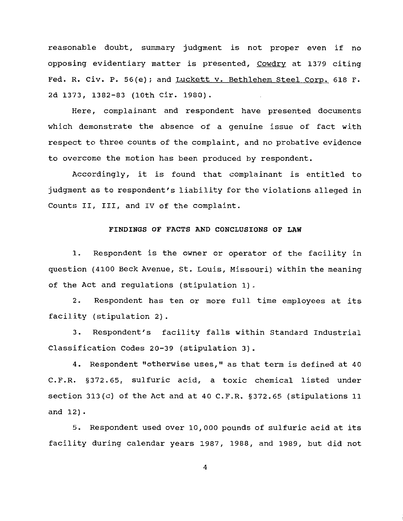reasonable doubt, summary judgment is not proper even if no opposing evidentiary matter is presented, Cowdry at 1379 citing Fed. R. Civ. P. 56(e); and Luckett v. Bethlehem Steel Corp. 618 F. 2d 1373, 1382-83 (lOth cir. 1980).

Here, complainant and respondent have presented documents which demonstrate the absence of a genuine issue of fact with respect to three counts of the complaint, and no probative evidence to overcome the motion has been produced by respondent.

Accordingly, it is found that complainant is entitled to judgment as to respondent's liability for the violations alleged in Counts II, III, and IV of the complaint.

## **FINDINGS OF FACTS AND CONCLUSIONS OF LAW**

1. Respondent is the owner or operator of the facility in question (4100 Beck Avenue, St. Louis, Missouri) within the meaning of the Act and regulations (stipulation 1).

2. Respondent has ten or more full time employees at its facility (stipulation 2).

3. Respondent's facility falls within Standard Industrial Classification Codes 20-39 (stipulation 3).

4. Respondent "otherwise uses," as that term is defined at 40 C.F.R. §372.65, sulfuric acid, a toxic chemical listed under section 313(c) of the Act and at 40 C.F.R. §372.65 (stipulations 11 and 12).

5. Respondent used over 10,000 pounds of sulfuric acid at its facility during calendar years 1987, 1988, and 1989, but did not

4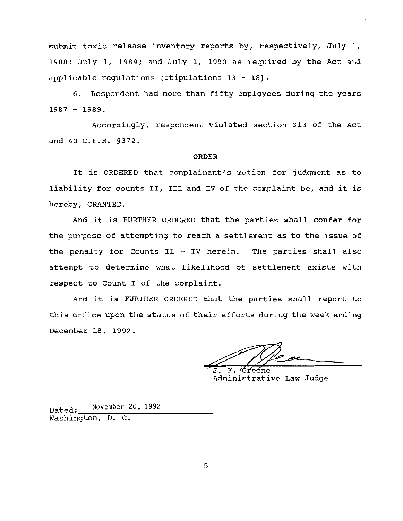submit toxic release inventory reports by, respectively, July 1, 1988; July 1, 1989; and July 1, 1990 as required by the Act and applicable regulations (stipulations 13- 18).

6. Respondent had more than fifty employees during the years  $1987 - 1989.$ 

Accordingly, respondent violated section 313 of the Act and 40 C.F.R. §372.

## **ORDER**

It is ORDERED that complainant's motion for judgment as to liability for counts II, III and IV of the complaint be, and it is hereby, GRANTED.

And it is FURTHER ORDERED that the parties shall confer for the purpose of attempting to reach a settlement as to the issue of the penalty for Counts  $II - IV$  herein. The parties shall also attempt to determine what likelihood of settlement exists with respect to Count I of the complaint.

And it is FURTHER ORDERED that the parties shall report to this office upon the status of their efforts during the week ending December 18, 1992.

 $\mathbf{F}$ . Grééne Administrative Law Judge

Dated: November 20, 1992 Washington, D. c.